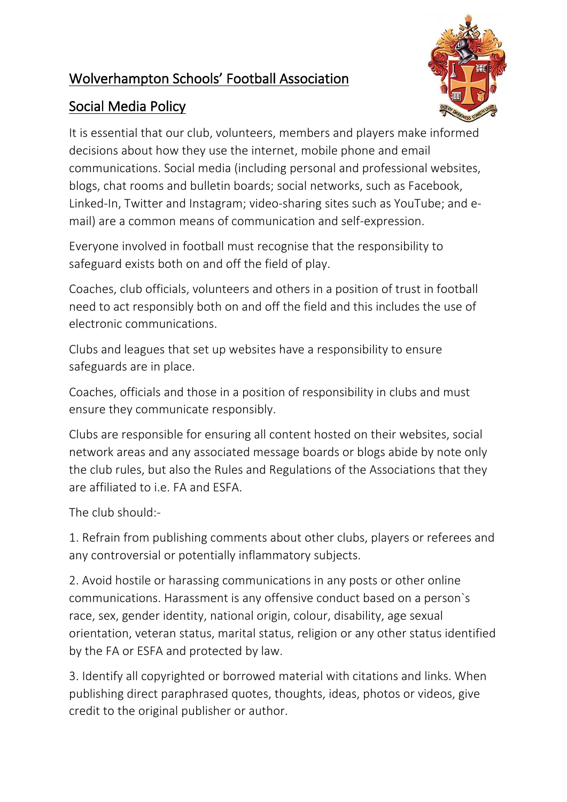## Wolverhampton Schools' Football Association



# Social Media Policy

It is essential that our club, volunteers, members and players make informed decisions about how they use the internet, mobile phone and email communications. Social media (including personal and professional websites, blogs, chat rooms and bulletin boards; social networks, such as Facebook, Linked-In, Twitter and Instagram; video-sharing sites such as YouTube; and email) are a common means of communication and self-expression.

Everyone involved in football must recognise that the responsibility to safeguard exists both on and off the field of play.

Coaches, club officials, volunteers and others in a position of trust in football need to act responsibly both on and off the field and this includes the use of electronic communications.

Clubs and leagues that set up websites have a responsibility to ensure safeguards are in place.

Coaches, officials and those in a position of responsibility in clubs and must ensure they communicate responsibly.

Clubs are responsible for ensuring all content hosted on their websites, social network areas and any associated message boards or blogs abide by note only the club rules, but also the Rules and Regulations of the Associations that they are affiliated to i.e. FA and ESFA.

The club should:-

1. Refrain from publishing comments about other clubs, players or referees and any controversial or potentially inflammatory subjects.

2. Avoid hostile or harassing communications in any posts or other online communications. Harassment is any offensive conduct based on a person`s race, sex, gender identity, national origin, colour, disability, age sexual orientation, veteran status, marital status, religion or any other status identified by the FA or ESFA and protected by law.

3. Identify all copyrighted or borrowed material with citations and links. When publishing direct paraphrased quotes, thoughts, ideas, photos or videos, give credit to the original publisher or author.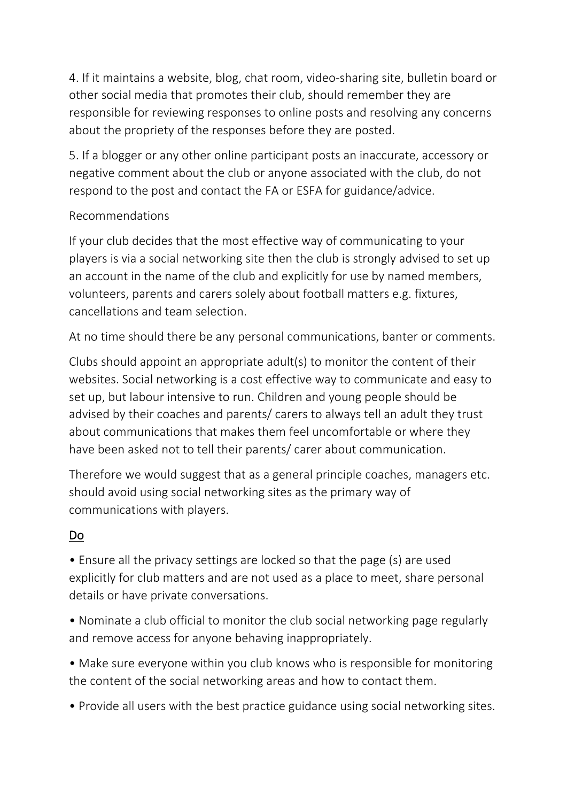4. If it maintains a website, blog, chat room, video-sharing site, bulletin board or other social media that promotes their club, should remember they are responsible for reviewing responses to online posts and resolving any concerns about the propriety of the responses before they are posted.

5. If a blogger or any other online participant posts an inaccurate, accessory or negative comment about the club or anyone associated with the club, do not respond to the post and contact the FA or ESFA for guidance/advice.

#### Recommendations

If your club decides that the most effective way of communicating to your players is via a social networking site then the club is strongly advised to set up an account in the name of the club and explicitly for use by named members, volunteers, parents and carers solely about football matters e.g. fixtures, cancellations and team selection.

At no time should there be any personal communications, banter or comments.

Clubs should appoint an appropriate adult(s) to monitor the content of their websites. Social networking is a cost effective way to communicate and easy to set up, but labour intensive to run. Children and young people should be advised by their coaches and parents/ carers to always tell an adult they trust about communications that makes them feel uncomfortable or where they have been asked not to tell their parents/ carer about communication.

Therefore we would suggest that as a general principle coaches, managers etc. should avoid using social networking sites as the primary way of communications with players.

### Do

• Ensure all the privacy settings are locked so that the page (s) are used explicitly for club matters and are not used as a place to meet, share personal details or have private conversations.

• Nominate a club official to monitor the club social networking page regularly and remove access for anyone behaving inappropriately.

• Make sure everyone within you club knows who is responsible for monitoring the content of the social networking areas and how to contact them.

• Provide all users with the best practice guidance using social networking sites.